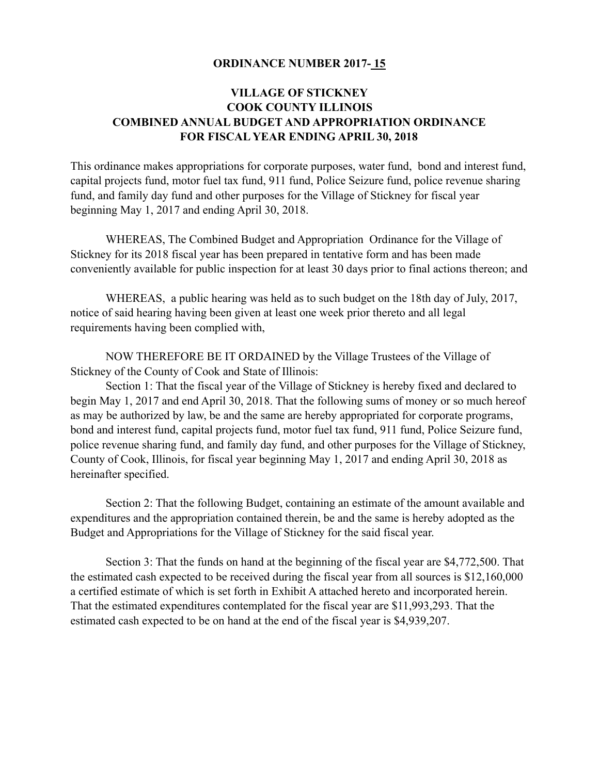#### **ORDINANCE NUMBER 2017- 15**

### **VILLAGE OF STICKNEY COOK COUNTY ILLINOIS COMBINED ANNUAL BUDGET AND APPROPRIATION ORDINANCE FOR FISCAL YEAR ENDING APRIL 30, 2018**

This ordinance makes appropriations for corporate purposes, water fund, bond and interest fund, capital projects fund, motor fuel tax fund, 911 fund, Police Seizure fund, police revenue sharing fund, and family day fund and other purposes for the Village of Stickney for fiscal year beginning May 1, 2017 and ending April 30, 2018.

 WHEREAS, The Combined Budget and Appropriation Ordinance for the Village of Stickney for its 2018 fiscal year has been prepared in tentative form and has been made conveniently available for public inspection for at least 30 days prior to final actions thereon; and

 WHEREAS, a public hearing was held as to such budget on the 18th day of July, 2017, notice of said hearing having been given at least one week prior thereto and all legal requirements having been complied with,

 NOW THEREFORE BE IT ORDAINED by the Village Trustees of the Village of Stickney of the County of Cook and State of Illinois:

 Section 1: That the fiscal year of the Village of Stickney is hereby fixed and declared to begin May 1, 2017 and end April 30, 2018. That the following sums of money or so much hereof as may be authorized by law, be and the same are hereby appropriated for corporate programs, bond and interest fund, capital projects fund, motor fuel tax fund, 911 fund, Police Seizure fund, police revenue sharing fund, and family day fund, and other purposes for the Village of Stickney, County of Cook, Illinois, for fiscal year beginning May 1, 2017 and ending April 30, 2018 as hereinafter specified.

 Section 2: That the following Budget, containing an estimate of the amount available and expenditures and the appropriation contained therein, be and the same is hereby adopted as the Budget and Appropriations for the Village of Stickney for the said fiscal year.

 Section 3: That the funds on hand at the beginning of the fiscal year are \$4,772,500. That the estimated cash expected to be received during the fiscal year from all sources is \$12,160,000 a certified estimate of which is set forth in Exhibit A attached hereto and incorporated herein. That the estimated expenditures contemplated for the fiscal year are \$11,993,293. That the estimated cash expected to be on hand at the end of the fiscal year is \$4,939,207.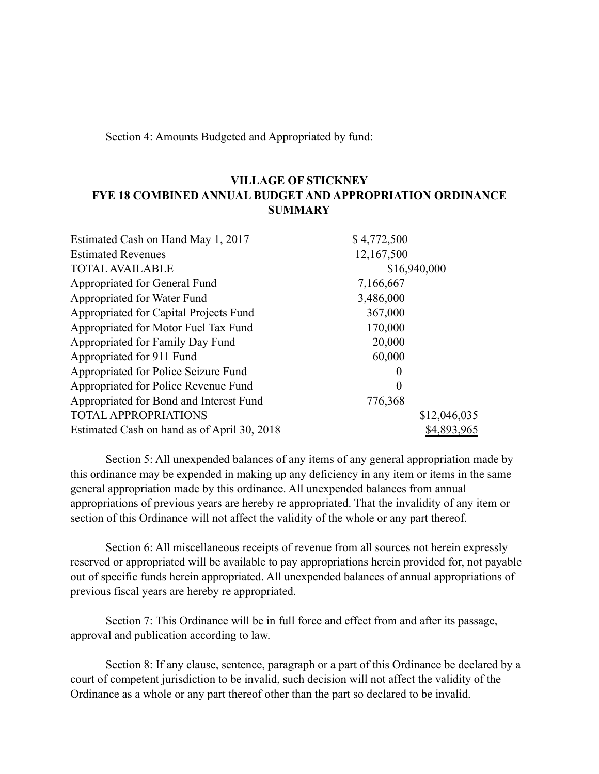Section 4: Amounts Budgeted and Appropriated by fund:

### **VILLAGE OF STICKNEY FYE 18 COMBINED ANNUAL BUDGET AND APPROPRIATION ORDINANCE SUMMARY**

| Estimated Cash on Hand May 1, 2017          | \$4,772,500  |
|---------------------------------------------|--------------|
| <b>Estimated Revenues</b>                   | 12,167,500   |
| <b>TOTAL AVAILABLE</b>                      | \$16,940,000 |
| Appropriated for General Fund               | 7,166,667    |
| Appropriated for Water Fund                 | 3,486,000    |
| Appropriated for Capital Projects Fund      | 367,000      |
| Appropriated for Motor Fuel Tax Fund        | 170,000      |
| Appropriated for Family Day Fund            | 20,000       |
| Appropriated for 911 Fund                   | 60,000       |
| Appropriated for Police Seizure Fund        | $\theta$     |
| Appropriated for Police Revenue Fund        | $\theta$     |
| Appropriated for Bond and Interest Fund     | 776,368      |
| <b>TOTAL APPROPRIATIONS</b>                 | \$12,046,035 |
| Estimated Cash on hand as of April 30, 2018 | \$4,893,96:  |

 Section 5: All unexpended balances of any items of any general appropriation made by this ordinance may be expended in making up any deficiency in any item or items in the same general appropriation made by this ordinance. All unexpended balances from annual appropriations of previous years are hereby re appropriated. That the invalidity of any item or section of this Ordinance will not affect the validity of the whole or any part thereof.

 Section 6: All miscellaneous receipts of revenue from all sources not herein expressly reserved or appropriated will be available to pay appropriations herein provided for, not payable out of specific funds herein appropriated. All unexpended balances of annual appropriations of previous fiscal years are hereby re appropriated.

 Section 7: This Ordinance will be in full force and effect from and after its passage, approval and publication according to law.

 Section 8: If any clause, sentence, paragraph or a part of this Ordinance be declared by a court of competent jurisdiction to be invalid, such decision will not affect the validity of the Ordinance as a whole or any part thereof other than the part so declared to be invalid.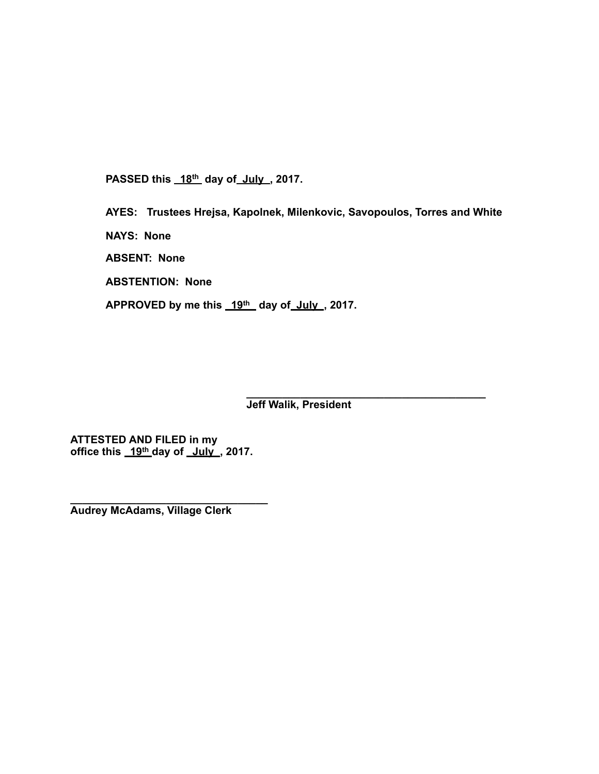PASSED this 18<sup>th</sup> day of July, 2017.

**AYES: Trustees Hrejsa, Kapolnek, Milenkovic, Savopoulos, Torres and White** 

**NAYS: None** 

**ABSENT: None** 

**ABSTENTION: None** 

APPROVED by me this 19<sup>th</sup> day of July, 2017.

**\_\_\_\_\_\_\_\_\_\_\_\_\_\_\_\_\_\_\_\_\_\_\_\_\_\_\_\_\_\_\_\_\_\_\_\_\_\_\_\_ Jeff Walik, President** 

**ATTESTED AND FILED in my office this 19th day of July , 2017.** 

**\_\_\_\_\_\_\_\_\_\_\_\_\_\_\_\_\_\_\_\_\_\_\_\_\_\_\_\_\_\_\_\_\_ Audrey McAdams, Village Clerk**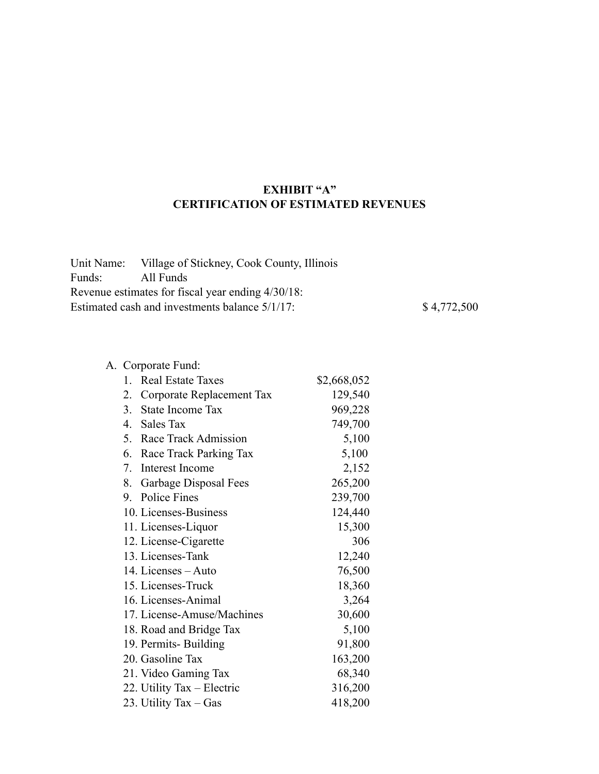## **EXHIBIT "A" CERTIFICATION OF ESTIMATED REVENUES**

| \$4,772,500                                                                                                                                                               |
|---------------------------------------------------------------------------------------------------------------------------------------------------------------------------|
| Unit Name: Village of Stickney, Cook County, Illinois<br>All Funds<br>Revenue estimates for fiscal year ending 4/30/18:<br>Estimated cash and investments balance 5/1/17: |

|              | A. Corporate Fund:         |             |
|--------------|----------------------------|-------------|
| $\mathbf{1}$ | <b>Real Estate Taxes</b>   | \$2,668,052 |
| 2.           | Corporate Replacement Tax  | 129,540     |
|              | 3. State Income Tax        | 969,228     |
|              | 4. Sales Tax               | 749,700     |
|              | 5. Race Track Admission    | 5,100       |
|              | 6. Race Track Parking Tax  | 5,100       |
|              | 7. Interest Income         | 2,152       |
|              | 8. Garbage Disposal Fees   | 265,200     |
|              | 9. Police Fines            | 239,700     |
|              | 10. Licenses-Business      | 124,440     |
|              | 11. Licenses-Liquor        | 15,300      |
|              | 12. License-Cigarette      | 306         |
|              | 13. Licenses-Tank          | 12,240      |
|              | 14. Licenses – Auto        | 76,500      |
|              | 15. Licenses-Truck         | 18,360      |
|              | 16. Licenses-Animal        | 3,264       |
|              | 17. License-Amuse/Machines | 30,600      |
|              | 18. Road and Bridge Tax    | 5,100       |
|              | 19. Permits-Building       | 91,800      |
|              | 20. Gasoline Tax           | 163,200     |
|              | 21. Video Gaming Tax       | 68,340      |
|              | 22. Utility Tax - Electric | 316,200     |
|              | 23. Utility Tax - Gas      | 418,200     |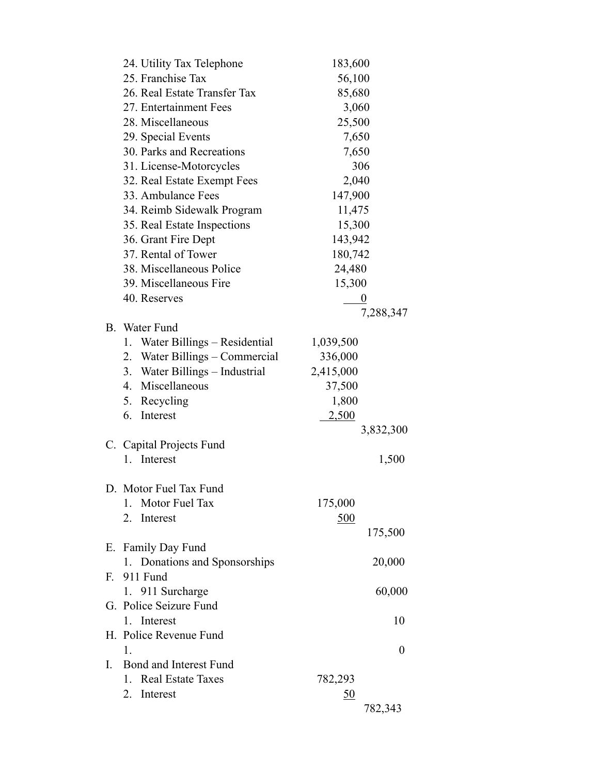|         | 24. Utility Tax Telephone          | 183,600          |
|---------|------------------------------------|------------------|
|         | 25. Franchise Tax                  | 56,100           |
|         | 26. Real Estate Transfer Tax       | 85,680           |
|         | 27. Entertainment Fees             | 3,060            |
|         | 28. Miscellaneous                  | 25,500           |
|         | 29. Special Events                 | 7,650            |
|         | 30. Parks and Recreations          | 7,650            |
|         | 31. License-Motorcycles            | 306              |
|         | 32. Real Estate Exempt Fees        | 2,040            |
|         | 33. Ambulance Fees                 | 147,900          |
|         | 34. Reimb Sidewalk Program         | 11,475           |
|         | 35. Real Estate Inspections        | 15,300           |
|         | 36. Grant Fire Dept                | 143,942          |
|         | 37. Rental of Tower                | 180,742          |
|         | 38. Miscellaneous Police           | 24,480           |
|         | 39. Miscellaneous Fire             | 15,300           |
|         | 40. Reserves                       |                  |
|         |                                    | 7,288,347        |
|         | B. Water Fund                      |                  |
|         | Water Billings – Residential<br>1. | 1,039,500        |
|         | 2. Water Billings - Commercial     | 336,000          |
|         | 3. Water Billings - Industrial     | 2,415,000        |
|         | 4. Miscellaneous                   | 37,500           |
|         | 5. Recycling                       | 1,800            |
|         | 6. Interest                        | <u>2,500</u>     |
|         |                                    | 3,832,300        |
|         | C. Capital Projects Fund           |                  |
|         | 1. Interest                        | 1,500            |
|         |                                    |                  |
|         | D. Motor Fuel Tax Fund             |                  |
|         | Motor Fuel Tax<br>$\mathbf{1}$     | 175,000          |
|         | 2. Interest                        | <u>500</u>       |
|         |                                    | 175,500          |
|         | E. Family Day Fund                 |                  |
|         | 1. Donations and Sponsorships      | 20,000           |
| $F_{-}$ | 911 Fund                           |                  |
|         | 1. 911 Surcharge                   | 60,000           |
|         | G. Police Seizure Fund             |                  |
|         | 1. Interest                        | 10               |
|         | H. Police Revenue Fund             |                  |
|         | 1.                                 | $\boldsymbol{0}$ |
| L       | Bond and Interest Fund             |                  |
|         | 1. Real Estate Taxes               | 782,293          |
|         | 2. Interest                        | <u>50</u>        |
|         |                                    | 782,343          |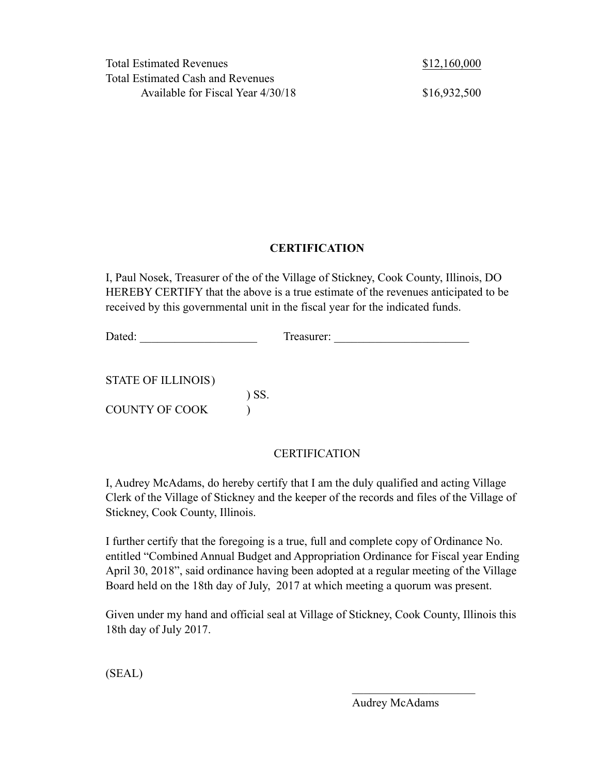## **CERTIFICATION**

I, Paul Nosek, Treasurer of the of the Village of Stickney, Cook County, Illinois, DO HEREBY CERTIFY that the above is a true estimate of the revenues anticipated to be received by this governmental unit in the fiscal year for the indicated funds.

Dated: \_\_\_\_\_\_\_\_\_\_\_\_\_\_\_\_\_\_\_\_ Treasurer: \_\_\_\_\_\_\_\_\_\_\_\_\_\_\_\_\_\_\_\_\_\_\_

STATE OF ILLINOIS ) ) SS. COUNTY OF COOK  $\qquad$  )

## **CERTIFICATION**

I, Audrey McAdams, do hereby certify that I am the duly qualified and acting Village Clerk of the Village of Stickney and the keeper of the records and files of the Village of Stickney, Cook County, Illinois.

I further certify that the foregoing is a true, full and complete copy of Ordinance No. entitled "Combined Annual Budget and Appropriation Ordinance for Fiscal year Ending April 30, 2018", said ordinance having been adopted at a regular meeting of the Village Board held on the 18th day of July, 2017 at which meeting a quorum was present.

Given under my hand and official seal at Village of Stickney, Cook County, Illinois this 18th day of July 2017.

 $\mathcal{L}_\text{max}$  and  $\mathcal{L}_\text{max}$  are the set of the set of the set of the set of the set of the set of the set of the set of the set of the set of the set of the set of the set of the set of the set of the set of the set o

(SEAL)

Audrey McAdams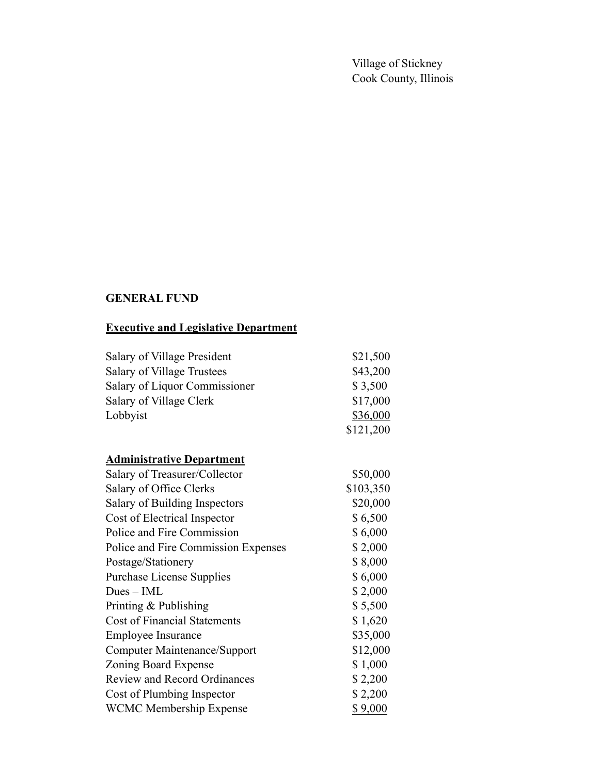Village of Stickney Cook County, Illinois

## **GENERAL FUND**

## **Executive and Legislative Department**

| Salary of Village President   | \$21,500  |
|-------------------------------|-----------|
| Salary of Village Trustees    | \$43,200  |
| Salary of Liquor Commissioner | \$3,500   |
| Salary of Village Clerk       | \$17,000  |
| Lobbyist                      | \$36,000  |
|                               | \$121,200 |

# **Administrative Department**

| Salary of Treasurer/Collector       | \$50,000  |
|-------------------------------------|-----------|
| Salary of Office Clerks             | \$103,350 |
| Salary of Building Inspectors       | \$20,000  |
| Cost of Electrical Inspector        | \$6,500   |
| Police and Fire Commission          | \$6,000   |
| Police and Fire Commission Expenses | \$2,000   |
| Postage/Stationery                  | \$8,000   |
| <b>Purchase License Supplies</b>    | \$6,000   |
| $Dues - IML$                        | \$2,000   |
| Printing & Publishing               | \$5,500   |
| <b>Cost of Financial Statements</b> | \$1,620   |
| <b>Employee Insurance</b>           | \$35,000  |
| Computer Maintenance/Support        | \$12,000  |
| Zoning Board Expense                | \$1,000   |
| <b>Review and Record Ordinances</b> | \$2,200   |
| Cost of Plumbing Inspector          | \$2,200   |
| <b>WCMC Membership Expense</b>      | \$9,000   |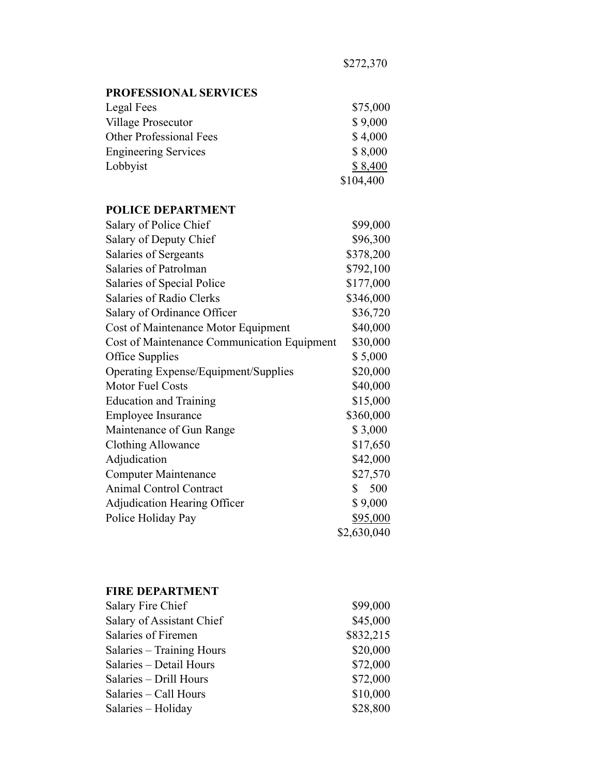\$75,000

| <b>PROFESSIONAL SERVICES</b> |  |
|------------------------------|--|
| Legal Fees                   |  |
| Village Prosecutor           |  |

| Village Prosecutor             | \$9,000   |
|--------------------------------|-----------|
| <b>Other Professional Fees</b> | \$4,000   |
| <b>Engineering Services</b>    | \$8,000   |
| Lobbyist                       | \$8,400   |
|                                | \$104,400 |
|                                |           |

## **POLICE DEPARTMENT**

| Salary of Police Chief                      | \$99,000    |
|---------------------------------------------|-------------|
| Salary of Deputy Chief                      | \$96,300    |
| Salaries of Sergeants                       | \$378,200   |
| Salaries of Patrolman                       | \$792,100   |
| Salaries of Special Police                  | \$177,000   |
| <b>Salaries of Radio Clerks</b>             | \$346,000   |
| Salary of Ordinance Officer                 | \$36,720    |
| Cost of Maintenance Motor Equipment         | \$40,000    |
| Cost of Maintenance Communication Equipment | \$30,000    |
| Office Supplies                             | \$5,000     |
| <b>Operating Expense/Equipment/Supplies</b> | \$20,000    |
| Motor Fuel Costs                            | \$40,000    |
| <b>Education and Training</b>               | \$15,000    |
| <b>Employee Insurance</b>                   | \$360,000   |
| Maintenance of Gun Range                    | \$3,000     |
| Clothing Allowance                          | \$17,650    |
| Adjudication                                | \$42,000    |
| <b>Computer Maintenance</b>                 | \$27,570    |
| Animal Control Contract                     | 500<br>\$   |
| <b>Adjudication Hearing Officer</b>         | \$9,000     |
| Police Holiday Pay                          | \$95,000    |
|                                             | \$2,630,040 |

### **FIRE DEPARTMENT**

| \$99,000  |
|-----------|
| \$45,000  |
| \$832,215 |
| \$20,000  |
| \$72,000  |
| \$72,000  |
| \$10,000  |
| \$28,800  |
|           |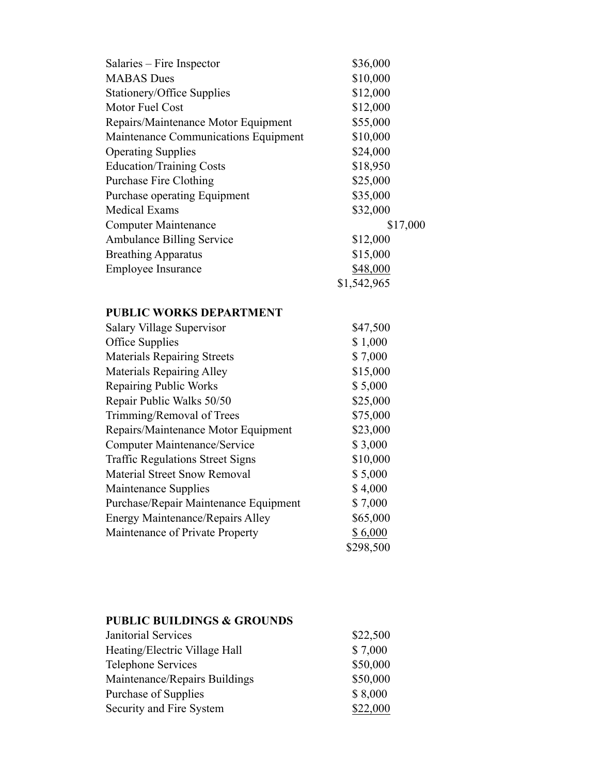| \$36,000    |
|-------------|
| \$10,000    |
| \$12,000    |
| \$12,000    |
| \$55,000    |
| \$10,000    |
| \$24,000    |
| \$18,950    |
| \$25,000    |
| \$35,000    |
| \$32,000    |
| \$17,000    |
| \$12,000    |
| \$15,000    |
| \$48,000    |
| \$1,542,965 |
|             |

## **PUBLIC WORKS DEPARTMENT**

| <b>Salary Village Supervisor</b>        | \$47,500  |
|-----------------------------------------|-----------|
| Office Supplies                         | \$1,000   |
| <b>Materials Repairing Streets</b>      | \$7,000   |
| <b>Materials Repairing Alley</b>        | \$15,000  |
| <b>Repairing Public Works</b>           | \$5,000   |
| Repair Public Walks 50/50               | \$25,000  |
| Trimming/Removal of Trees               | \$75,000  |
| Repairs/Maintenance Motor Equipment     | \$23,000  |
| Computer Maintenance/Service            | \$3,000   |
| <b>Traffic Regulations Street Signs</b> | \$10,000  |
| <b>Material Street Snow Removal</b>     | \$5,000   |
| Maintenance Supplies                    | \$4,000   |
| Purchase/Repair Maintenance Equipment   | \$7,000   |
| <b>Energy Maintenance/Repairs Alley</b> | \$65,000  |
| Maintenance of Private Property         | \$6,000   |
|                                         | \$298,500 |
|                                         |           |

#### **PUBLIC BUILDINGS & GROUNDS**

| Janitorial Services           | \$22,500 |
|-------------------------------|----------|
| Heating/Electric Village Hall | \$7,000  |
| <b>Telephone Services</b>     | \$50,000 |
| Maintenance/Repairs Buildings | \$50,000 |
| Purchase of Supplies          | \$8,000  |
| Security and Fire System      | \$22,000 |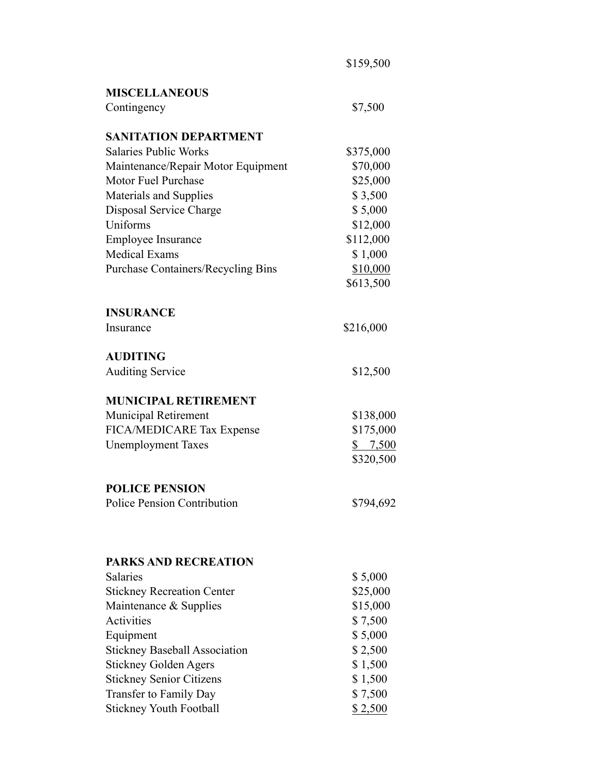| <b>MISCELLANEOUS</b>                                                                                                                                                                    |                                            |
|-----------------------------------------------------------------------------------------------------------------------------------------------------------------------------------------|--------------------------------------------|
| Contingency                                                                                                                                                                             | \$7,500                                    |
| <b>SANITATION DEPARTMENT</b>                                                                                                                                                            |                                            |
| <b>Salaries Public Works</b>                                                                                                                                                            | \$375,000                                  |
| Maintenance/Repair Motor Equipment                                                                                                                                                      | \$70,000                                   |
| <b>Motor Fuel Purchase</b>                                                                                                                                                              | \$25,000                                   |
| Materials and Supplies                                                                                                                                                                  | \$3,500                                    |
| Disposal Service Charge                                                                                                                                                                 | \$5,000                                    |
| Uniforms                                                                                                                                                                                | \$12,000                                   |
| Employee Insurance                                                                                                                                                                      | \$112,000                                  |
| <b>Medical Exams</b>                                                                                                                                                                    | \$1,000                                    |
| <b>Purchase Containers/Recycling Bins</b>                                                                                                                                               | \$10,000                                   |
|                                                                                                                                                                                         | \$613,500                                  |
| <b>INSURANCE</b>                                                                                                                                                                        |                                            |
| Insurance                                                                                                                                                                               | \$216,000                                  |
| <b>AUDITING</b>                                                                                                                                                                         |                                            |
| <b>Auditing Service</b>                                                                                                                                                                 | \$12,500                                   |
| <b>MUNICIPAL RETIREMENT</b>                                                                                                                                                             |                                            |
| <b>Municipal Retirement</b>                                                                                                                                                             | \$138,000                                  |
| FICA/MEDICARE Tax Expense                                                                                                                                                               | \$175,000                                  |
| <b>Unemployment Taxes</b>                                                                                                                                                               | \$7,500                                    |
|                                                                                                                                                                                         | \$320,500                                  |
| <b>POLICE PENSION</b>                                                                                                                                                                   |                                            |
| <b>Police Pension Contribution</b>                                                                                                                                                      | \$794,692                                  |
|                                                                                                                                                                                         |                                            |
|                                                                                                                                                                                         |                                            |
|                                                                                                                                                                                         |                                            |
|                                                                                                                                                                                         | \$5,000                                    |
|                                                                                                                                                                                         |                                            |
|                                                                                                                                                                                         |                                            |
|                                                                                                                                                                                         | \$7,500                                    |
|                                                                                                                                                                                         | \$5,000                                    |
| <b>PARKS AND RECREATION</b><br><b>Salaries</b><br><b>Stickney Recreation Center</b><br>Maintenance & Supplies<br><b>Activities</b><br>Equipment<br><b>Stickney Baseball Association</b> | \$2,500                                    |
|                                                                                                                                                                                         | \$1,500                                    |
| <b>Stickney Golden Agers</b><br><b>Stickney Senior Citizens</b><br>Transfer to Family Day                                                                                               | \$25,000<br>\$15,000<br>\$1,500<br>\$7,500 |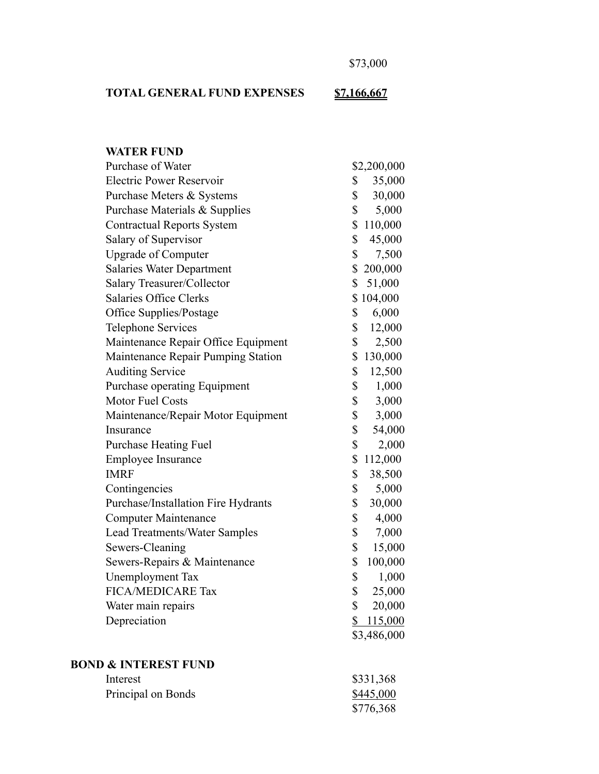\$73,000

# **TOTAL GENERAL FUND EXPENSES \$7,166,667**

| <b>WATER FUND</b>                    |               |
|--------------------------------------|---------------|
| Purchase of Water                    | \$2,200,000   |
| <b>Electric Power Reservoir</b>      | \$<br>35,000  |
| Purchase Meters & Systems            | \$<br>30,000  |
| Purchase Materials & Supplies        | \$<br>5,000   |
| <b>Contractual Reports System</b>    | \$110,000     |
| Salary of Supervisor                 | \$<br>45,000  |
| <b>Upgrade of Computer</b>           | \$<br>7,500   |
| <b>Salaries Water Department</b>     | \$200,000     |
| Salary Treasurer/Collector           | \$<br>51,000  |
| <b>Salaries Office Clerks</b>        | \$104,000     |
| Office Supplies/Postage              | \$<br>6,000   |
| <b>Telephone Services</b>            | \$<br>12,000  |
| Maintenance Repair Office Equipment  | \$<br>2,500   |
| Maintenance Repair Pumping Station   | \$<br>130,000 |
| <b>Auditing Service</b>              | \$<br>12,500  |
| Purchase operating Equipment         | \$<br>1,000   |
| Motor Fuel Costs                     | \$<br>3,000   |
| Maintenance/Repair Motor Equipment   | \$<br>3,000   |
| Insurance                            | \$<br>54,000  |
| <b>Purchase Heating Fuel</b>         | \$<br>2,000   |
| <b>Employee Insurance</b>            | \$<br>112,000 |
| <b>IMRF</b>                          | \$<br>38,500  |
| Contingencies                        | \$<br>5,000   |
| Purchase/Installation Fire Hydrants  | \$<br>30,000  |
| <b>Computer Maintenance</b>          | \$<br>4,000   |
| <b>Lead Treatments/Water Samples</b> | \$<br>7,000   |
| Sewers-Cleaning                      | \$<br>15,000  |
| Sewers-Repairs & Maintenance         | \$<br>100,000 |
| <b>Unemployment Tax</b>              | \$<br>1,000   |
| <b>FICA/MEDICARE Tax</b>             | \$<br>25,000  |
| Water main repairs                   | \$<br>20,000  |
| Depreciation                         | \$<br>115,000 |
|                                      | \$3,486,000   |
|                                      |               |
| <b>BOND &amp; INTEREST FUND</b>      |               |

| Interest           | \$331,368 |
|--------------------|-----------|
| Principal on Bonds | \$445,000 |
|                    | \$776,368 |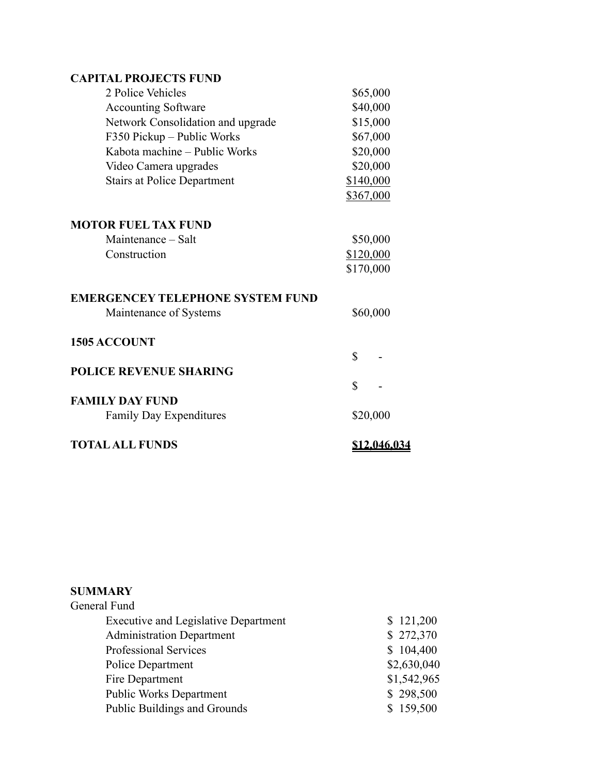## **CAPITAL PROJECTS FUND**

| 2 Police Vehicles                       | \$65,000            |
|-----------------------------------------|---------------------|
| <b>Accounting Software</b>              | \$40,000            |
| Network Consolidation and upgrade       | \$15,000            |
| F350 Pickup - Public Works              | \$67,000            |
| Kabota machine - Public Works           | \$20,000            |
| Video Camera upgrades                   | \$20,000            |
| <b>Stairs at Police Department</b>      | \$140,000           |
|                                         | \$367,000           |
| <b>MOTOR FUEL TAX FUND</b>              |                     |
| Maintenance – Salt                      | \$50,000            |
| Construction                            | \$120,000           |
|                                         | \$170,000           |
| <b>EMERGENCEY TELEPHONE SYSTEM FUND</b> |                     |
| Maintenance of Systems                  | \$60,000            |
| <b>1505 ACCOUNT</b>                     |                     |
|                                         | $\mathbb{S}$        |
| <b>POLICE REVENUE SHARING</b>           |                     |
|                                         | \$                  |
| <b>FAMILY DAY FUND</b>                  |                     |
| <b>Family Day Expenditures</b>          | \$20,000            |
| <b>TOTAL ALL FUNDS</b>                  | <u>\$12,046,034</u> |

| <b>SUMMARY</b>                              |             |
|---------------------------------------------|-------------|
| General Fund                                |             |
| <b>Executive and Legislative Department</b> | \$121,200   |
| <b>Administration Department</b>            | \$272,370   |
| <b>Professional Services</b>                | \$104,400   |
| Police Department                           | \$2,630,040 |
| Fire Department                             | \$1,542,965 |
| <b>Public Works Department</b>              | \$298,500   |
| Public Buildings and Grounds                | \$159,500   |
|                                             |             |